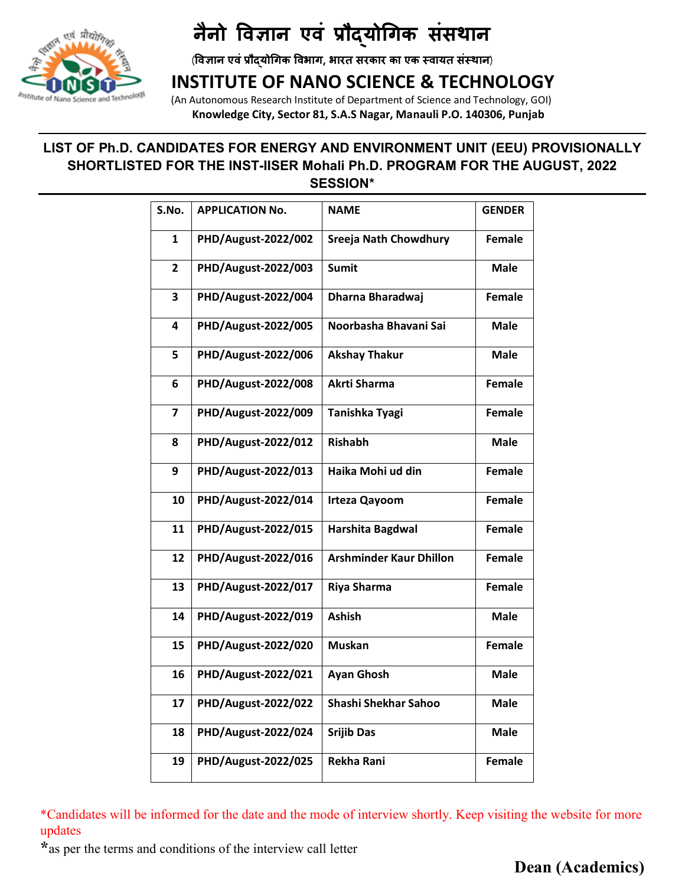

### **INSTITUTE OF NANO SCIENCE & TECHNOLOGY**

 (An Autonomous Research Institute of Department of Science and Technology, GOI)  **Knowledge City, Sector 81, S.A.S Nagar, Manauli P.O. 140306, Punjab** 

#### **LIST OF Ph.D. CANDIDATES FOR ENERGY AND ENVIRONMENT UNIT (EEU) PROVISIONALLY SHORTLISTED FOR THE INST-IISER Mohali Ph.D. PROGRAM FOR THE AUGUST, 2022 SESSION\***

| S.No.          | <b>APPLICATION No.</b> | <b>NAME</b>                    | <b>GENDER</b> |
|----------------|------------------------|--------------------------------|---------------|
| 1              | PHD/August-2022/002    | <b>Sreeja Nath Chowdhury</b>   | Female        |
| $\overline{2}$ | PHD/August-2022/003    | <b>Sumit</b>                   | <b>Male</b>   |
| 3              | PHD/August-2022/004    | Dharna Bharadwaj               | Female        |
| 4              | PHD/August-2022/005    | Noorbasha Bhavani Sai          | <b>Male</b>   |
| 5              | PHD/August-2022/006    | <b>Akshay Thakur</b>           | <b>Male</b>   |
| 6              | PHD/August-2022/008    | Akrti Sharma                   | <b>Female</b> |
| 7              | PHD/August-2022/009    | Tanishka Tyagi                 | <b>Female</b> |
| 8              | PHD/August-2022/012    | <b>Rishabh</b>                 | <b>Male</b>   |
| 9              | PHD/August-2022/013    | Haika Mohi ud din              | <b>Female</b> |
| 10             | PHD/August-2022/014    | <b>Irteza Qayoom</b>           | <b>Female</b> |
| 11             | PHD/August-2022/015    | Harshita Bagdwal               | <b>Female</b> |
| 12             | PHD/August-2022/016    | <b>Arshminder Kaur Dhillon</b> | <b>Female</b> |
| 13             | PHD/August-2022/017    | Riya Sharma                    | <b>Female</b> |
| 14             | PHD/August-2022/019    | <b>Ashish</b>                  | <b>Male</b>   |
| 15             | PHD/August-2022/020    | <b>Muskan</b>                  | Female        |
| 16             | PHD/August-2022/021    | <b>Ayan Ghosh</b>              | <b>Male</b>   |
| 17             | PHD/August-2022/022    | <b>Shashi Shekhar Sahoo</b>    | Male          |
| 18             | PHD/August-2022/024    | <b>Srijib Das</b>              | <b>Male</b>   |
| 19             | PHD/August-2022/025    | Rekha Rani                     | Female        |

\*Candidates will be informed for the date and the mode of interview shortly. Keep visiting the website for more updates

**\***as per the terms and conditions of the interview call letter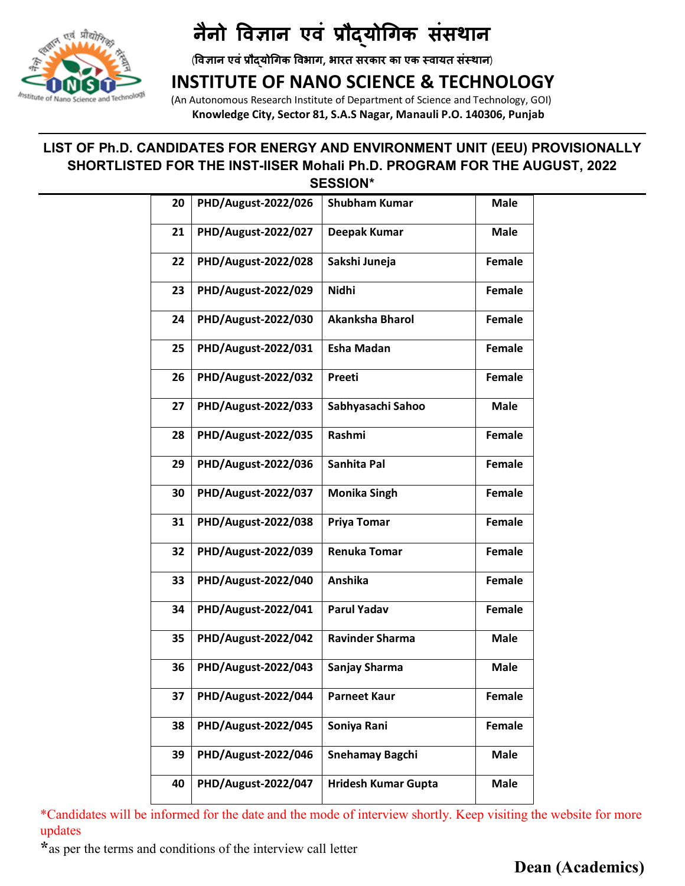

## **INSTITUTE OF NANO SCIENCE & TECHNOLOGY**

 (An Autonomous Research Institute of Department of Science and Technology, GOI)  **Knowledge City, Sector 81, S.A.S Nagar, Manauli P.O. 140306, Punjab** 

#### **LIST OF Ph.D. CANDIDATES FOR ENERGY AND ENVIRONMENT UNIT (EEU) PROVISIONALLY SHORTLISTED FOR THE INST-IISER Mohali Ph.D. PROGRAM FOR THE AUGUST, 2022 SESSION\***

| 20 | PHD/August-2022/026        | <b>Shubham Kumar</b>       | <b>Male</b>   |
|----|----------------------------|----------------------------|---------------|
| 21 | PHD/August-2022/027        | Deepak Kumar               | Male          |
| 22 | PHD/August-2022/028        | Sakshi Juneja              | <b>Female</b> |
| 23 | PHD/August-2022/029        | <b>Nidhi</b>               | <b>Female</b> |
| 24 | PHD/August-2022/030        | <b>Akanksha Bharol</b>     | <b>Female</b> |
| 25 | PHD/August-2022/031        | <b>Esha Madan</b>          | <b>Female</b> |
| 26 | <b>PHD/August-2022/032</b> | Preeti                     | <b>Female</b> |
| 27 | PHD/August-2022/033        | Sabhyasachi Sahoo          | <b>Male</b>   |
| 28 | PHD/August-2022/035        | Rashmi                     | <b>Female</b> |
| 29 | PHD/August-2022/036        | Sanhita Pal                | <b>Female</b> |
| 30 | PHD/August-2022/037        | <b>Monika Singh</b>        | <b>Female</b> |
| 31 | PHD/August-2022/038        | Priya Tomar                | <b>Female</b> |
| 32 | PHD/August-2022/039        | <b>Renuka Tomar</b>        | <b>Female</b> |
| 33 | PHD/August-2022/040        | Anshika                    | <b>Female</b> |
| 34 | PHD/August-2022/041        | <b>Parul Yadav</b>         | <b>Female</b> |
| 35 | PHD/August-2022/042        | <b>Ravinder Sharma</b>     | <b>Male</b>   |
| 36 | PHD/August-2022/043        | Sanjay Sharma              | <b>Male</b>   |
| 37 | PHD/August-2022/044        | <b>Parneet Kaur</b>        | Female        |
| 38 | PHD/August-2022/045        | Soniya Rani                | <b>Female</b> |
| 39 | PHD/August-2022/046        | <b>Snehamay Bagchi</b>     | <b>Male</b>   |
| 40 | PHD/August-2022/047        | <b>Hridesh Kumar Gupta</b> | <b>Male</b>   |

\*Candidates will be informed for the date and the mode of interview shortly. Keep visiting the website for more updates

**\***as per the terms and conditions of the interview call letter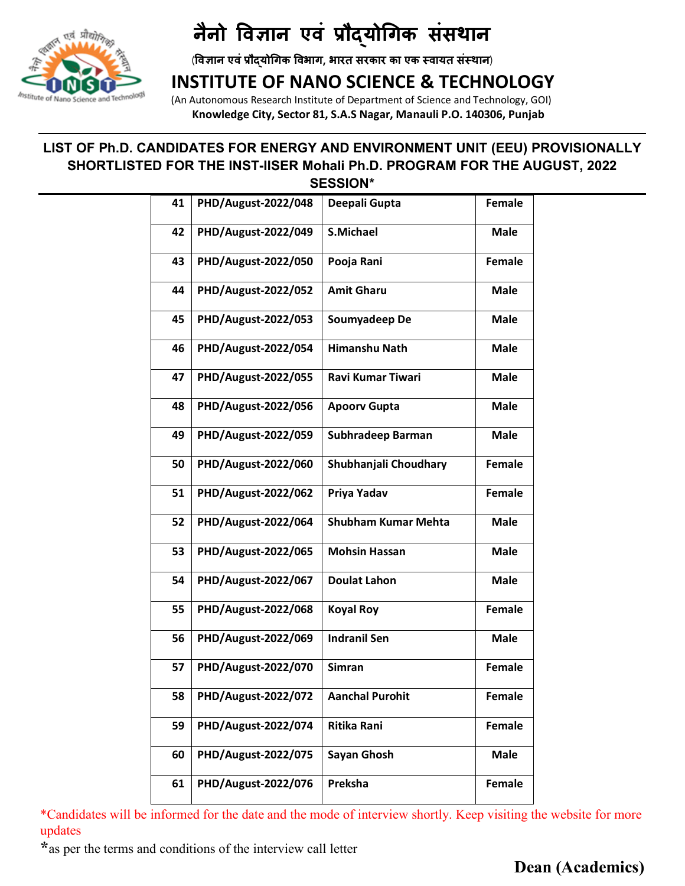

### **INSTITUTE OF NANO SCIENCE & TECHNOLOGY**

 (An Autonomous Research Institute of Department of Science and Technology, GOI)  **Knowledge City, Sector 81, S.A.S Nagar, Manauli P.O. 140306, Punjab** 

#### **LIST OF Ph.D. CANDIDATES FOR ENERGY AND ENVIRONMENT UNIT (EEU) PROVISIONALLY SHORTLISTED FOR THE INST-IISER Mohali Ph.D. PROGRAM FOR THE AUGUST, 2022 SESSION\***

| 41 | PHD/August-2022/048 | Deepali Gupta              | <b>Female</b> |
|----|---------------------|----------------------------|---------------|
| 42 | PHD/August-2022/049 | <b>S.Michael</b>           | <b>Male</b>   |
| 43 | PHD/August-2022/050 | Pooja Rani                 | <b>Female</b> |
| 44 | PHD/August-2022/052 | <b>Amit Gharu</b>          | <b>Male</b>   |
| 45 | PHD/August-2022/053 | Soumyadeep De              | <b>Male</b>   |
| 46 | PHD/August-2022/054 | <b>Himanshu Nath</b>       | <b>Male</b>   |
| 47 | PHD/August-2022/055 | <b>Ravi Kumar Tiwari</b>   | <b>Male</b>   |
| 48 | PHD/August-2022/056 | <b>Apoorv Gupta</b>        | <b>Male</b>   |
| 49 | PHD/August-2022/059 | Subhradeep Barman          | Male          |
| 50 | PHD/August-2022/060 | Shubhanjali Choudhary      | <b>Female</b> |
| 51 | PHD/August-2022/062 | Priya Yadav                | <b>Female</b> |
| 52 | PHD/August-2022/064 | <b>Shubham Kumar Mehta</b> | <b>Male</b>   |
| 53 | PHD/August-2022/065 | <b>Mohsin Hassan</b>       | <b>Male</b>   |
| 54 | PHD/August-2022/067 | <b>Doulat Lahon</b>        | <b>Male</b>   |
| 55 | PHD/August-2022/068 | <b>Koyal Roy</b>           | <b>Female</b> |
| 56 | PHD/August-2022/069 | <b>Indranil Sen</b>        | <b>Male</b>   |
| 57 | PHD/August-2022/070 | <b>Simran</b>              | <b>Female</b> |
| 58 | PHD/August-2022/072 | <b>Aanchal Purohit</b>     | <b>Female</b> |
| 59 | PHD/August-2022/074 | <b>Ritika Rani</b>         | <b>Female</b> |
| 60 | PHD/August-2022/075 | Sayan Ghosh                | <b>Male</b>   |
| 61 | PHD/August-2022/076 | Preksha                    | Female        |

\*Candidates will be informed for the date and the mode of interview shortly. Keep visiting the website for more updates

**\***as per the terms and conditions of the interview call letter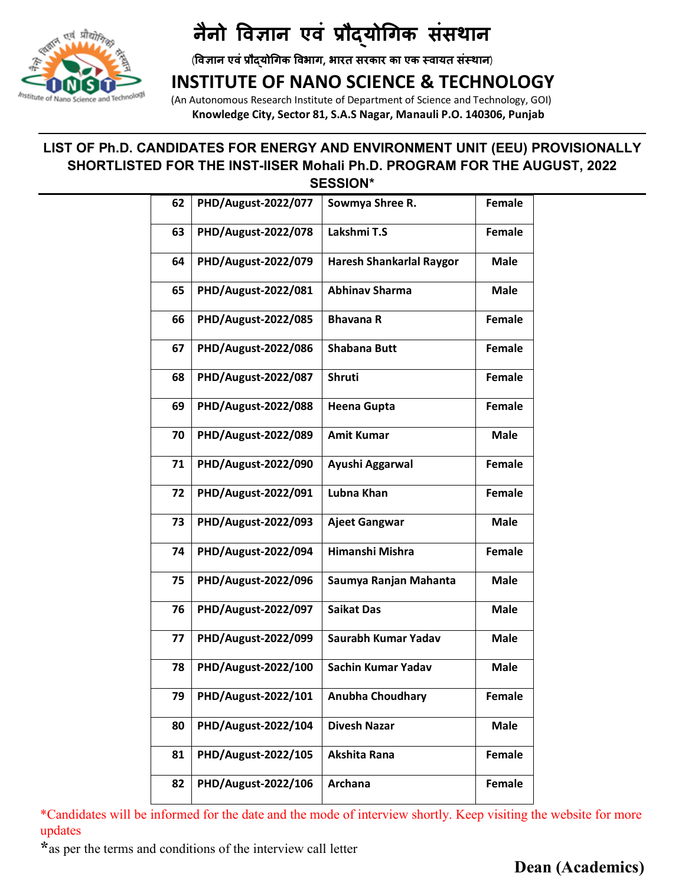

## **INSTITUTE OF NANO SCIENCE & TECHNOLOGY**

 (An Autonomous Research Institute of Department of Science and Technology, GOI)  **Knowledge City, Sector 81, S.A.S Nagar, Manauli P.O. 140306, Punjab** 

#### **LIST OF Ph.D. CANDIDATES FOR ENERGY AND ENVIRONMENT UNIT (EEU) PROVISIONALLY SHORTLISTED FOR THE INST-IISER Mohali Ph.D. PROGRAM FOR THE AUGUST, 2022 SESSION\***

| 62 | PHD/August-2022/077 | Sowmya Shree R.                 | <b>Female</b> |
|----|---------------------|---------------------------------|---------------|
| 63 | PHD/August-2022/078 | Lakshmi T.S                     | <b>Female</b> |
| 64 | PHD/August-2022/079 | <b>Haresh Shankarlal Raygor</b> | <b>Male</b>   |
| 65 | PHD/August-2022/081 | <b>Abhinav Sharma</b>           | Male          |
| 66 | PHD/August-2022/085 | <b>Bhavana R</b>                | <b>Female</b> |
| 67 | PHD/August-2022/086 | <b>Shabana Butt</b>             | <b>Female</b> |
| 68 | PHD/August-2022/087 | <b>Shruti</b>                   | <b>Female</b> |
| 69 | PHD/August-2022/088 | <b>Heena Gupta</b>              | <b>Female</b> |
| 70 | PHD/August-2022/089 | <b>Amit Kumar</b>               | <b>Male</b>   |
| 71 | PHD/August-2022/090 | Ayushi Aggarwal                 | <b>Female</b> |
| 72 | PHD/August-2022/091 | Lubna Khan                      | <b>Female</b> |
| 73 | PHD/August-2022/093 | <b>Ajeet Gangwar</b>            | <b>Male</b>   |
| 74 | PHD/August-2022/094 | Himanshi Mishra                 | <b>Female</b> |
| 75 | PHD/August-2022/096 | Saumya Ranjan Mahanta           | <b>Male</b>   |
| 76 | PHD/August-2022/097 | <b>Saikat Das</b>               | <b>Male</b>   |
| 77 | PHD/August-2022/099 | Saurabh Kumar Yadav             | <b>Male</b>   |
| 78 | PHD/August-2022/100 | Sachin Kumar Yadav              | <b>Male</b>   |
| 79 | PHD/August-2022/101 | <b>Anubha Choudhary</b>         | <b>Female</b> |
| 80 | PHD/August-2022/104 | <b>Divesh Nazar</b>             | <b>Male</b>   |
| 81 | PHD/August-2022/105 | Akshita Rana                    | <b>Female</b> |
| 82 | PHD/August-2022/106 | Archana                         | <b>Female</b> |

\*Candidates will be informed for the date and the mode of interview shortly. Keep visiting the website for more updates

**\***as per the terms and conditions of the interview call letter